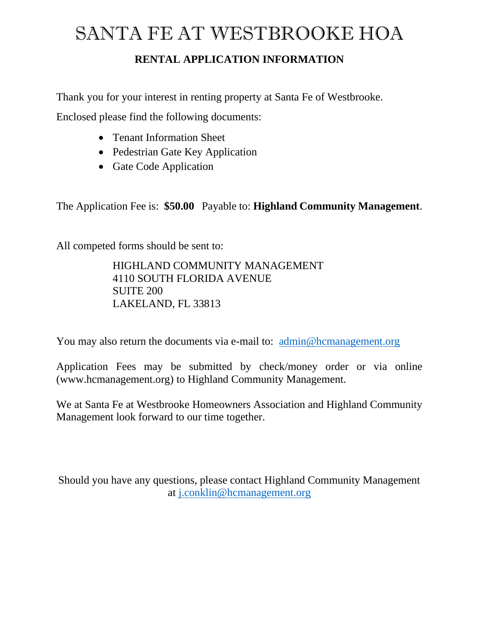# SANTA FE AT WESTBROOKE HOA

### **RENTAL APPLICATION INFORMATION**

Thank you for your interest in renting property at Santa Fe of Westbrooke.

Enclosed please find the following documents:

- Tenant Information Sheet
- Pedestrian Gate Key Application
- Gate Code Application

The Application Fee is: **\$50.00** Payable to: **Highland Community Management**.

All competed forms should be sent to:

HIGHLAND COMMUNITY MANAGEMENT 4110 SOUTH FLORIDA AVENUE SUITE 200 LAKELAND, FL 33813

You may also return the documents via e-mail to: [admin@hcmanagement.org](mailto:admin@hcmanagement.org)

Application Fees may be submitted by check/money order or via online (www.hcmanagement.org) to Highland Community Management.

We at Santa Fe at Westbrooke Homeowners Association and Highland Community Management look forward to our time together.

Should you have any questions, please contact Highland Community Management at [j.conklin@hcmanagement.org](mailto:j.conklin@hcmanagement.org)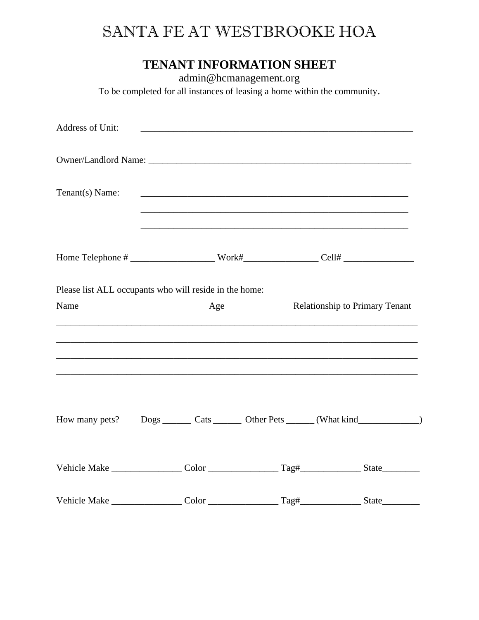## SANTA FE AT WESTBROOKE HOA

### **TENANT INFORMATION SHEET**

admin@hcmanagement.org

To be completed for all instances of leasing a home within the community.

| Address of Unit:                                       | <u> 2000 - Jan Barnett, fransk politik (d. 1888)</u> |     |                                       |                                                                                                                            |  |
|--------------------------------------------------------|------------------------------------------------------|-----|---------------------------------------|----------------------------------------------------------------------------------------------------------------------------|--|
|                                                        |                                                      |     |                                       |                                                                                                                            |  |
| Tenant(s) Name:                                        |                                                      |     |                                       | <u> 1989 - Johann John Stone, market fan de Amerikaanske kommunister fan de Amerikaanske kommunister fan de Amerikaans</u> |  |
|                                                        |                                                      |     |                                       |                                                                                                                            |  |
| Please list ALL occupants who will reside in the home: |                                                      |     |                                       |                                                                                                                            |  |
| Name                                                   |                                                      | Age | <b>Relationship to Primary Tenant</b> |                                                                                                                            |  |
|                                                        |                                                      |     |                                       |                                                                                                                            |  |
|                                                        |                                                      |     |                                       |                                                                                                                            |  |
|                                                        |                                                      |     |                                       | How many pets? Dogs ________ Cats ________ Other Pets _______ (What kind ______________)                                   |  |
|                                                        |                                                      |     |                                       |                                                                                                                            |  |
|                                                        |                                                      |     |                                       |                                                                                                                            |  |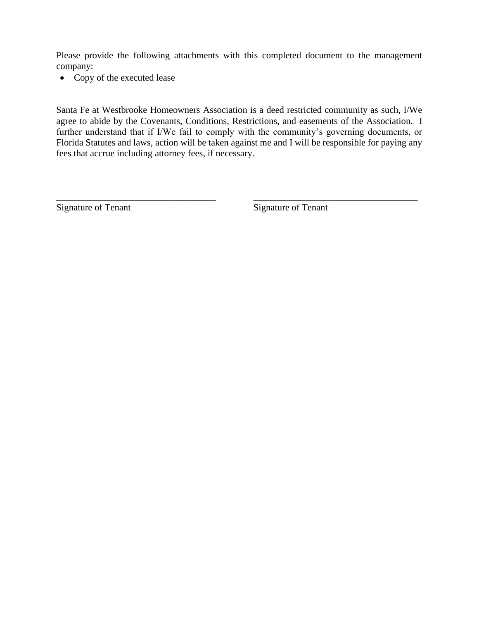Please provide the following attachments with this completed document to the management company:

• Copy of the executed lease

Santa Fe at Westbrooke Homeowners Association is a deed restricted community as such, I/We agree to abide by the Covenants, Conditions, Restrictions, and easements of the Association. I further understand that if I/We fail to comply with the community's governing documents, or Florida Statutes and laws, action will be taken against me and I will be responsible for paying any fees that accrue including attorney fees, if necessary.

\_\_\_\_\_\_\_\_\_\_\_\_\_\_\_\_\_\_\_\_\_\_\_\_\_\_\_\_\_\_\_\_\_\_ \_\_\_\_\_\_\_\_\_\_\_\_\_\_\_\_\_\_\_\_\_\_\_\_\_\_\_\_\_\_\_\_\_\_\_

Signature of Tenant Signature of Tenant